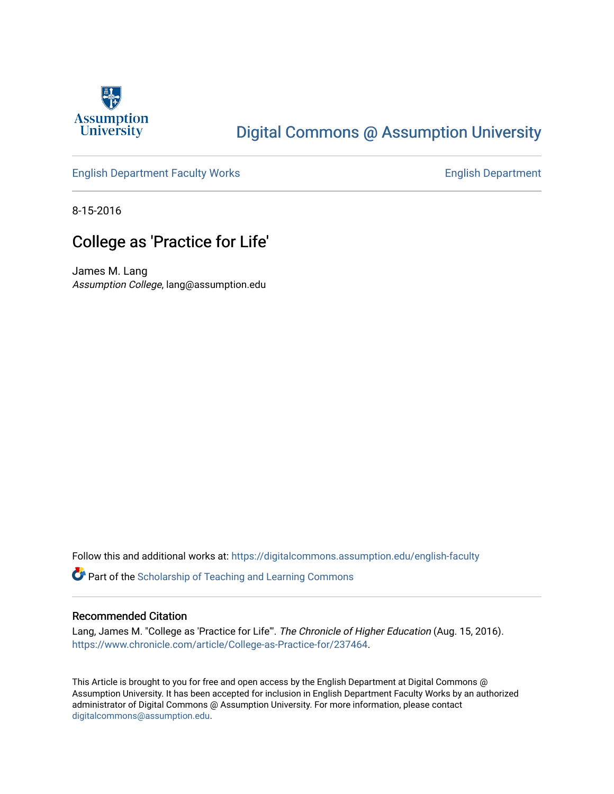

## [Digital Commons @ Assumption University](https://digitalcommons.assumption.edu/)

### [English Department Faculty Works](https://digitalcommons.assumption.edu/english-faculty) **English Department**

8-15-2016

## College as 'Practice for Life'

James M. Lang Assumption College, lang@assumption.edu

Follow this and additional works at: [https://digitalcommons.assumption.edu/english-faculty](https://digitalcommons.assumption.edu/english-faculty?utm_source=digitalcommons.assumption.edu%2Fenglish-faculty%2F5&utm_medium=PDF&utm_campaign=PDFCoverPages) 

**P** Part of the Scholarship of Teaching and Learning Commons

#### Recommended Citation

Lang, James M. "College as 'Practice for Life'". The Chronicle of Higher Education (Aug. 15, 2016). [https://www.chronicle.com/article/College-as-Practice-for/237464.](https://www.chronicle.com/article/College-as-Practice-for/237464)

This Article is brought to you for free and open access by the English Department at Digital Commons @ Assumption University. It has been accepted for inclusion in English Department Faculty Works by an authorized administrator of Digital Commons @ Assumption University. For more information, please contact [digitalcommons@assumption.edu](mailto:digitalcommons@assumption.edu).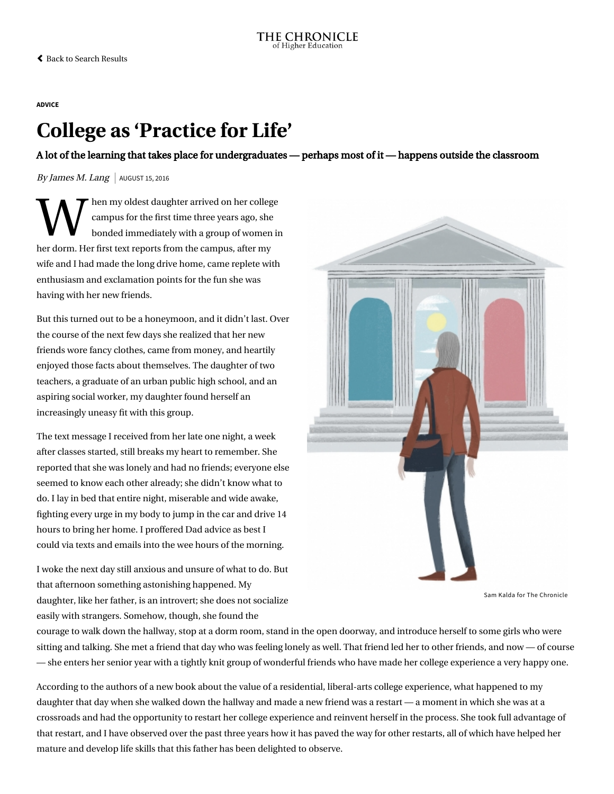#### **[ADVICE](https://www.chronicle.com/section/Advice/66)**

# College as 'Practice for Life'

A lot of the learning that takes place for undergraduates — perhaps most of it — happens outside the classroom

By James M. Lang  $\vert$  AUGUST 15, 2016

 $\sum_{\text{complex for}}$  ampus for hen my oldest daughter arrived on her college campus for the first time three years ago, she bonded immediately with a group of women in her dorm. Her first text reports from the campus, after my wife and I had made the long drive home, came replete with enthusiasm and exclamation points for the fun she was having with her new friends.

But this turned out to be a honeymoon, and it didn't last. Over the course of the next few days she realized that her new friends wore fancy clothes, came from money, and heartily enjoyed those facts about themselves. The daughter of two teachers, a graduate of an urban public high school, and an aspiring social worker, my daughter found herself an increasingly uneasy fit with this group.

The text message I received from her late one night, a week after classes started, still breaks my heart to remember. She reported that she was lonely and had no friends; everyone else seemed to know each other already; she didn't know what to do. I lay in bed that entire night, miserable and wide awake, fighting every urge in my body to jump in the car and drive 14 hours to bring her home. I proffered Dad advice as best I could via texts and emails into the wee hours of the morning.

I woke the next day still anxious and unsure of what to do. But that afternoon something astonishing happened. My daughter, like her father, is an introvert; she does not socialize easily with strangers. Somehow, though, she found the



Sam Kalda for The Chronicle

courage to walk down the hallway, stop at a dorm room, stand in the open doorway, and introduce herself to some girls who were sitting and talking. She met a friend that day who was feeling lonely as well. That friend led her to other friends, and now — of course — she enters her senior year with a tightly knit group of wonderful friends who have made her college experience a very happy one.

According to the authors of a new book about the value of a residential, liberal-arts college experience, what happened to my daughter that day when she walked down the hallway and made a new friend was a restart — a moment in which she was at a crossroads and had the opportunity to restart her college experience and reinvent herself in the process. She took full advantage of that restart, and I have observed over the past three years how it has paved the way for other restarts, all of which have helped her mature and develop life skills that this father has been delighted to observe.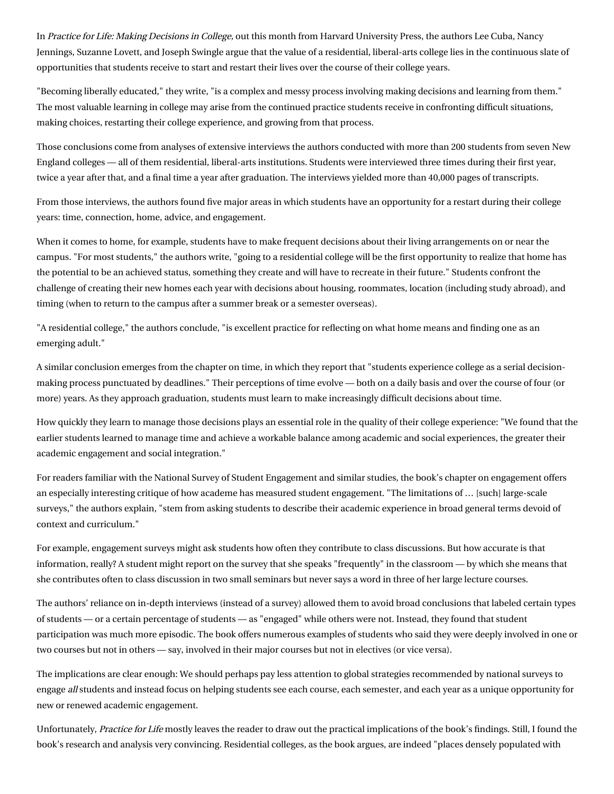In [Practice for Life: Making Decisions in College,](http://www.hup.harvard.edu/catalog.php?isbn=9780674970663) out this month from Harvard University Press, the authors [Lee Cuba,](http://www.wellesley.edu/sociology/faculty/cuba) Nancy Jennings, [Suzanne Lovett, and Joseph Swingle argue that the value of a residential, liberal-arts college lies in the continuous s](https://www.bowdoin.edu/facu)late of opportunities that students receive to start and restart their lives over the course of their college years.

"Becoming liberally educated," they write, "is a complex and messy process involving making decisions and learning from them." The most valuable learning in college may arise from the continued practice students receive in confronting difficult situations, making choices, restarting their college experience, and growing from that process.

Those conclusions come from analyses of extensive interviews the authors conducted with more than 200 students from seven New England colleges — all of them residential, liberal-arts institutions. Students were interviewed three times during their first year, twice a year after that, and a final time a year after graduation. The interviews yielded more than 40,000 pages of transcripts.

From those interviews, the authors found five major areas in which students have an opportunity for a restart during their college years: time, connection, home, advice, and engagement.

When it comes to home, for example, students have to make frequent decisions about their living arrangements on or near the campus. "For most students," the authors write, "going to a residential college will be the first opportunity to realize that home has the potential to be an achieved status, something they create and will have to recreate in their future." Students confront the challenge of creating their new homes each year with decisions about housing, roommates, location (including study abroad), and timing (when to return to the campus after a summer break or a semester overseas).

"A residential college," the authors conclude, "is excellent practice for reflecting on what home means and finding one as an emerging adult."

A similar conclusion emerges from the chapter on time, in which they report that "students experience college as a serial decisionmaking process punctuated by deadlines." Their perceptions of time evolve — both on a daily basis and over the course of four (or more) years. As they approach graduation, students must learn to make increasingly difficult decisions about time.

How quickly they learn to manage those decisions plays an essential role in the quality of their college experience: "We found that the earlier students learned to manage time and achieve a workable balance among academic and social experiences, the greater their academic engagement and social integration."

For readers familiar with the [National Survey of Student Engagement](http://nsse.indiana.edu/) and similar studies, the book's chapter on engagement offers an especially interesting critique of how academe has measured student engagement. "The limitations of … [such] large-scale surveys," the authors explain, "stem from asking students to describe their academic experience in broad general terms devoid of context and curriculum."

For example, engagement surveys might ask students how often they contribute to class discussions. But how accurate is that information, really? A student might report on the survey that she speaks "frequently" in the classroom — by which she means that she contributes often to class discussion in two small seminars but never says a word in three of her large lecture courses.

The authors' reliance on in-depth interviews (instead of a survey) allowed them to avoid broad conclusions that labeled certain types of students — or a certain percentage of students — as "engaged" while others were not. Instead, they found that student participation was much more episodic. The book offers numerous examples of students who said they were deeply involved in one or two courses but not in others — say, involved in their major courses but not in electives (or vice versa).

The implications are clear enough: We should perhaps pay less attention to global strategies recommended by national surveys to engage all students and instead focus on helping students see each course, each semester, and each year as a unique opportunity for new or renewed academic engagement.

Unfortunately, Practice for Life mostly leaves the reader to draw out the practical implications of the book's findings. Still, I found the book's research and analysis very convincing. Residential colleges, as the book argues, are indeed "places densely populated with